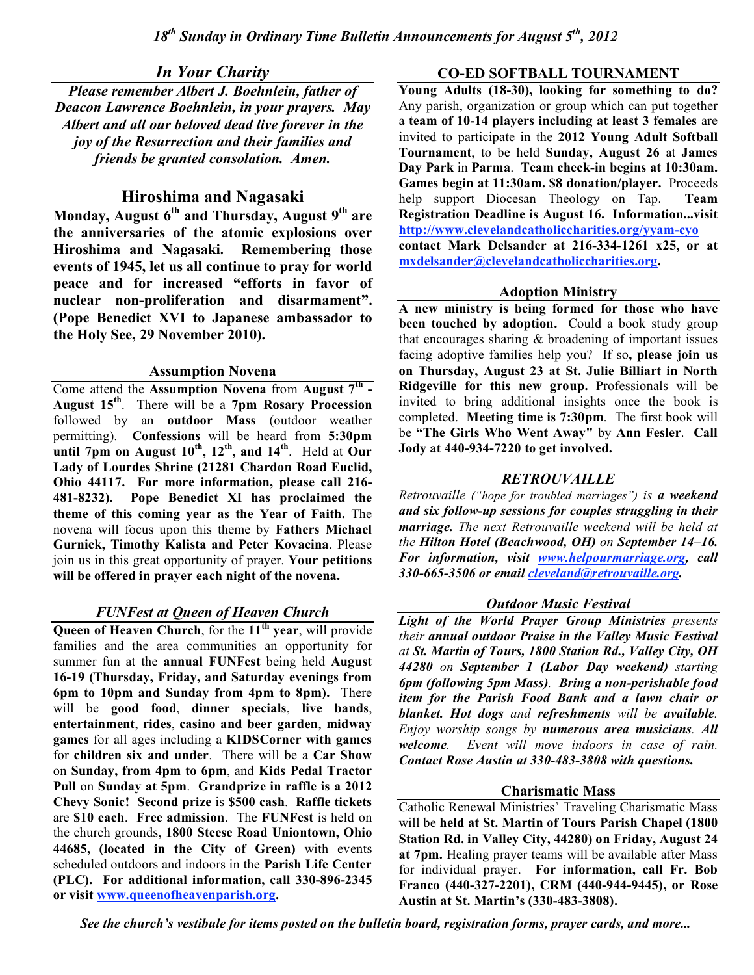# *In Your Charity*

*Please remember Albert J. Boehnlein, father of Deacon Lawrence Boehnlein, in your prayers. May Albert and all our beloved dead live forever in the joy of the Resurrection and their families and friends be granted consolation. Amen.*

# **Hiroshima and Nagasaki**

**Monday, August 6th and Thursday, August 9th are the anniversaries of the atomic explosions over Hiroshima and Nagasaki. Remembering those events of 1945, let us all continue to pray for world peace and for increased "efforts in favor of nuclear non-proliferation and disarmament". (Pope Benedict XVI to Japanese ambassador to the Holy See, 29 November 2010).**

### **Assumption Novena**

Come attend the **Assumption Novena** from **August 7th - August 15th** . There will be a **7pm Rosary Procession** followed by an **outdoor Mass** (outdoor weather permitting). **Confessions** will be heard from **5:30pm until 7pm on August 10th , 12th , and 14th** . Held at **Our Lady of Lourdes Shrine (21281 Chardon Road Euclid, Ohio 44117. For more information, please call 216- 481-8232). Pope Benedict XI has proclaimed the theme of this coming year as the Year of Faith.** The novena will focus upon this theme by **Fathers Michael Gurnick, Timothy Kalista and Peter Kovacina**. Please join us in this great opportunity of prayer. **Your petitions will be offered in prayer each night of the novena.**

# *FUNFest at Queen of Heaven Church*

**Queen of Heaven Church**, for the **11th year**, will provide families and the area communities an opportunity for summer fun at the **annual FUNFest** being held **August 16-19 (Thursday, Friday, and Saturday evenings from 6pm to 10pm and Sunday from 4pm to 8pm).** There will be **good food**, **dinner specials**, **live bands**, **entertainment**, **rides**, **casino and beer garden**, **midway games** for all ages including a **KIDSCorner with games** for **children six and under**. There will be a **Car Show** on **Sunday, from 4pm to 6pm**, and **Kids Pedal Tractor Pull** on **Sunday at 5pm**. **Grandprize in raffle is a 2012 Chevy Sonic! Second prize** is **\$500 cash**. **Raffle tickets** are **\$10 each**. **Free admission**. The **FUNFest** is held on the church grounds, **1800 Steese Road Uniontown, Ohio 44685, (located in the City of Green)** with events scheduled outdoors and indoors in the **Parish Life Center (PLC). For additional information, call 330-896-2345 or visit www.queenofheavenparish.org.**

# **CO-ED SOFTBALL TOURNAMENT**

**Young Adults (18-30), looking for something to do?** Any parish, organization or group which can put together a **team of 10-14 players including at least 3 females** are invited to participate in the **2012 Young Adult Softball Tournament**, to be held **Sunday, August 26** at **James Day Park** in **Parma**. **Team check-in begins at 10:30am. Games begin at 11:30am. \$8 donation/player.** Proceeds help support Diocesan Theology on Tap. **Team Registration Deadline is August 16. Information...visit http://www.clevelandcatholiccharities.org/yyam-cyo contact Mark Delsander at 216-334-1261 x25, or at mxdelsander@clevelandcatholiccharities.org.**

### **Adoption Ministry**

**A new ministry is being formed for those who have been touched by adoption.** Could a book study group that encourages sharing  $&$  broadening of important issues facing adoptive families help you? If so**, please join us on Thursday, August 23 at St. Julie Billiart in North Ridgeville for this new group.** Professionals will be invited to bring additional insights once the book is completed. **Meeting time is 7:30pm**. The first book will be **"The Girls Who Went Away"** by **Ann Fesler**. **Call Jody at 440-934-7220 to get involved.**

# *RETROUVAILLE*

*Retrouvaille ("hope for troubled marriages") is a weekend and six follow-up sessions for couples struggling in their marriage. The next Retrouvaille weekend will be held at the Hilton Hotel (Beachwood, OH) on September 14–16. For information, visit www.helpourmarriage.org, call 330-665-3506 or email cleveland@retrouvaille.org.*

# *Outdoor Music Festival*

*Light of the World Prayer Group Ministries presents their annual outdoor Praise in the Valley Music Festival at St. Martin of Tours, 1800 Station Rd., Valley City, OH 44280 on September 1 (Labor Day weekend) starting 6pm (following 5pm Mass). Bring a non-perishable food item for the Parish Food Bank and a lawn chair or blanket. Hot dogs and refreshments will be available. Enjoy worship songs by numerous area musicians. All welcome. Event will move indoors in case of rain. Contact Rose Austin at 330-483-3808 with questions.*

# **Charismatic Mass**

Catholic Renewal Ministries' Traveling Charismatic Mass will be **held at St. Martin of Tours Parish Chapel (1800 Station Rd. in Valley City, 44280) on Friday, August 24 at 7pm.** Healing prayer teams will be available after Mass for individual prayer. **For information, call Fr. Bob Franco (440-327-2201), CRM (440-944-9445), or Rose Austin at St. Martin's (330-483-3808).**

*See the church's vestibule for items posted on the bulletin board, registration forms, prayer cards, and more...*